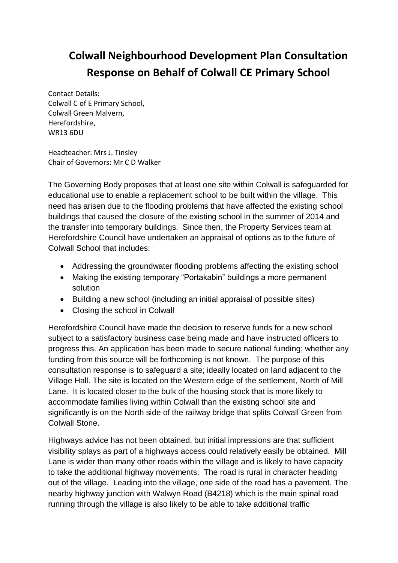## **Colwall Neighbourhood Development Plan Consultation Response on Behalf of Colwall CE Primary School**

Contact Details: Colwall C of E Primary School, Colwall Green Malvern, Herefordshire, WR13 6DU

Headteacher: Mrs J. Tinsley Chair of Governors: Mr C D Walker

The Governing Body proposes that at least one site within Colwall is safeguarded for educational use to enable a replacement school to be built within the village. This need has arisen due to the flooding problems that have affected the existing school buildings that caused the closure of the existing school in the summer of 2014 and the transfer into temporary buildings. Since then, the Property Services team at Herefordshire Council have undertaken an appraisal of options as to the future of Colwall School that includes:

- Addressing the groundwater flooding problems affecting the existing school
- Making the existing temporary "Portakabin" buildings a more permanent solution
- Building a new school (including an initial appraisal of possible sites)
- Closing the school in Colwall

Herefordshire Council have made the decision to reserve funds for a new school subject to a satisfactory business case being made and have instructed officers to progress this. An application has been made to secure national funding; whether any funding from this source will be forthcoming is not known. The purpose of this consultation response is to safeguard a site; ideally located on land adjacent to the Village Hall. The site is located on the Western edge of the settlement, North of Mill Lane. It is located closer to the bulk of the housing stock that is more likely to accommodate families living within Colwall than the existing school site and significantly is on the North side of the railway bridge that splits Colwall Green from Colwall Stone.

Highways advice has not been obtained, but initial impressions are that sufficient visibility splays as part of a highways access could relatively easily be obtained. Mill Lane is wider than many other roads within the village and is likely to have capacity to take the additional highway movements. The road is rural in character heading out of the village. Leading into the village, one side of the road has a pavement. The nearby highway junction with Walwyn Road (B4218) which is the main spinal road running through the village is also likely to be able to take additional traffic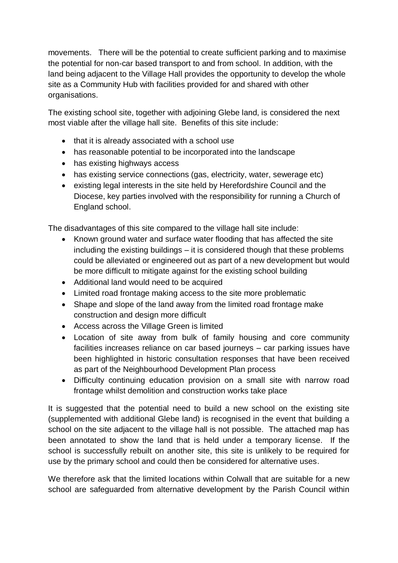movements. There will be the potential to create sufficient parking and to maximise the potential for non-car based transport to and from school. In addition, with the land being adjacent to the Village Hall provides the opportunity to develop the whole site as a Community Hub with facilities provided for and shared with other organisations.

The existing school site, together with adjoining Glebe land, is considered the next most viable after the village hall site. Benefits of this site include:

- that it is already associated with a school use
- has reasonable potential to be incorporated into the landscape
- has existing highways access
- has existing service connections (gas, electricity, water, sewerage etc)
- existing legal interests in the site held by Herefordshire Council and the Diocese, key parties involved with the responsibility for running a Church of England school.

The disadvantages of this site compared to the village hall site include:

- Known ground water and surface water flooding that has affected the site including the existing buildings – it is considered though that these problems could be alleviated or engineered out as part of a new development but would be more difficult to mitigate against for the existing school building
- Additional land would need to be acquired
- Limited road frontage making access to the site more problematic
- Shape and slope of the land away from the limited road frontage make construction and design more difficult
- Access across the Village Green is limited
- Location of site away from bulk of family housing and core community facilities increases reliance on car based journeys – car parking issues have been highlighted in historic consultation responses that have been received as part of the Neighbourhood Development Plan process
- Difficulty continuing education provision on a small site with narrow road frontage whilst demolition and construction works take place

It is suggested that the potential need to build a new school on the existing site (supplemented with additional Glebe land) is recognised in the event that building a school on the site adjacent to the village hall is not possible. The attached map has been annotated to show the land that is held under a temporary license. If the school is successfully rebuilt on another site, this site is unlikely to be required for use by the primary school and could then be considered for alternative uses.

We therefore ask that the limited locations within Colwall that are suitable for a new school are safeguarded from alternative development by the Parish Council within